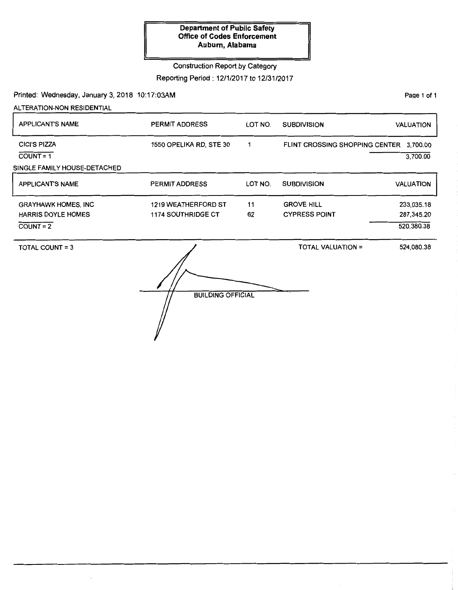#### **Department of Public Safety Office of Codes Enforcement Auburn, Alabama**

Construction Report by Category

Reporting Period: 12/1/2017 to 12/31/2017

Printed: Wednesday, January 3, 2018 10:17:03AM

ALTERATION-NON RESIDENTIAL

APPLICANT'S NAME PERMIT ADDRESS LOT NO. SUBDIVISION VALUATION GIGI'S PIZZA 1550 OPELIKA RD, STE 30 FLINT CROSSING SHOPPING CENTER 3,700.00  $\mathbf 1$  $COUNT = 1$ 3,700.00 SINGLE FAMILY HOUSE-DETACHED APPLICANT'S NAME PERMIT ADDRESS LOT NO. SUBDIVISION VALUATION GRAYHAWK HOMES, INC 1219 WEATHERFORD ST 11 GROVE HILL 233,035.18 1174 SOUTHRIDGE CT 62 CYPRESS POINT HARRIS DOYLE HOMES 287,345.20  $COUNT = 2$ 520,380.38 TOTAL COUNT= 3 TOTAL VALUATION = 524,080.38

**BUILDING OFFICIAL** 

PaQe 1 of 1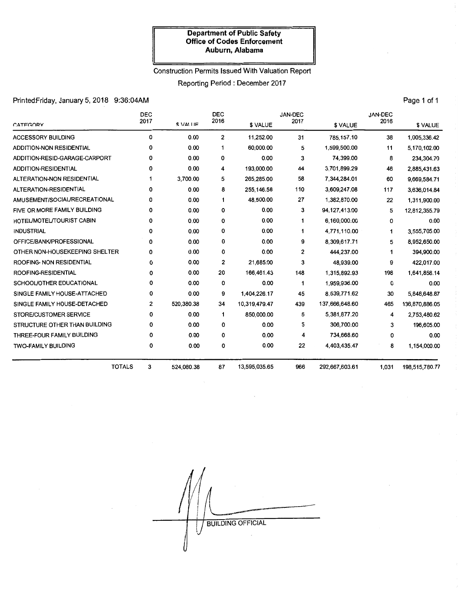#### **Department of Public Safety Office of Codes Enforcement Auburn, Alabama**

### Construction Permits Issued With Valuation Report

Reporting Period : December 2017

# PrintedFriday, January 5, 2018 9:36:04AM **Page 1 of 1** Page 1 of 1

| CATEGORY                       | <b>DEC</b><br>2017 | \$ VALUE   | <b>DEC</b><br>2016 | \$ VALUE      | JAN-DEC<br>2017 | \$ VALUE       | JAN-DEC<br>2016 | \$ VALUE       |
|--------------------------------|--------------------|------------|--------------------|---------------|-----------------|----------------|-----------------|----------------|
| <b>ACCESSORY BUILDING</b>      | 0                  | 0.00       | $\overline{2}$     | 11,252.00     | 31              | 785,157.10     | 38              | 1,005,336.42   |
| ADDITION-NON RESIDENTIAL       | 0                  | 0.00       | 1                  | 60,000.00     | 5               | 1,599,500.00   | 11              | 5.170.102.00   |
| ADDITION-RESID-GARAGE-CARPORT  | 0                  | 0.00       | 0                  | 0.00          | 3               | 74.399.00      | 8               | 234,304.70     |
| ADDITION-RESIDENTIAL           | 0                  | 0.00       | 4                  | 193.000.00    | 44              | 3.701.899.29   | 46              | 2,885,431.63   |
| ALTERATION-NON RESIDENTIAL     | 1                  | 3,700.00   | 5                  | 265,285.00    | 58              | 7,344,284.01   | 60              | 9,669,584.71   |
| ALTERATION-RESIDENTIAL         | 0                  | 0.00       | 8                  | 255,146.58    | 110             | 3,609,247.08   | 117             | 3,636,014.84   |
| AMUSEMENT/SOCIAL/RECREATIONAL  | 0                  | 0.00       | 1                  | 48,500.00     | 27              | 1,382,870.00   | 22              | 1,311,900.00   |
| FIVE OR MORE FAMILY BUILDING   | 0                  | 0.00       | 0                  | 0.00          | з               | 94,127,413.00  | 5               | 12,812,355.79  |
| HOTEL/MOTEL/TOURIST CABIN      | 0                  | 0.00       | 0                  | 0.00          | 1               | 6,160,000.00   | 0               | 0.00           |
| <b>INDUSTRIAL</b>              | 0                  | 0.00       | 0                  | 0.00          | 1               | 4,771,110.00   | 1               | 3,555,705.00   |
| OFFICE/BANK/PROFESSIONAL       | 0                  | 0.00       | 0                  | 0.00          | 9               | 8,309,617.71   | 5               | 8,952,650.00   |
| OTHER NON-HOUSEKEEPING SHELTER | 0                  | 0.00       | 0                  | 0.00          | 2               | 444,237.00     | 1               | 394,900.00     |
| ROOFING- NON RESIDENTIAL       | 0                  | 0.00       | 2                  | 21,685.00     | 3               | 48,939.00      | 9               | 422,017.00     |
| ROOFING-RESIDENTIAL            | 0                  | 0.00       | 20                 | 166,461.43    | 148             | 1,315,892.93   | 198             | 1,641,858.14   |
| SCHOOL/OTHER EDUCATIONAL       | 0                  | 0.00       | 0                  | 0.00          | 1               | 1,959,936.00   | 0               | 0.00           |
| SINGLE FAMILY HOUSE-ATTACHED   | 0                  | 0.00       | 9                  | 1,404,226.17  | 45              | 8,539,771.62   | 30              | 5,848,648.87   |
| SINGLE FAMILY HOUSE-DETACHED   | 2                  | 520,380.38 | 34                 | 10,319,479.47 | 439             | 137,666,648.60 | 465             | 136,870,886.05 |
| STORE/CUSTOMER SERVICE         | 0                  | 0.00       | 1                  | 850,000.00    | 5               | 5,381,877.20   | 4               | 2,753,480.62   |
| STRUCTURE OTHER THAN BUILDING  | 0                  | 0.00       | 0                  | 0.00          | 5               | 306,700.00     | з               | 196,605.00     |
| THREE-FOUR FAMILY BUILDING     | 0                  | 0.00       | 0                  | 0.00          | 4               | 734,668.60     | 0               | 0.00           |
| <b>TWO-FAMILY BUILDING</b>     | 0                  | 0.00       | 0                  | 0.00          | 22              | 4,403,435.47   | 8               | 1,154,000.00   |
|                                | <b>TOTALS</b><br>3 | 524,080.38 | 87                 | 13,595,035.65 | 966             | 292,667,603.61 | 1,031           | 198,515,780.77 |

**BUILDING OFFICIAL**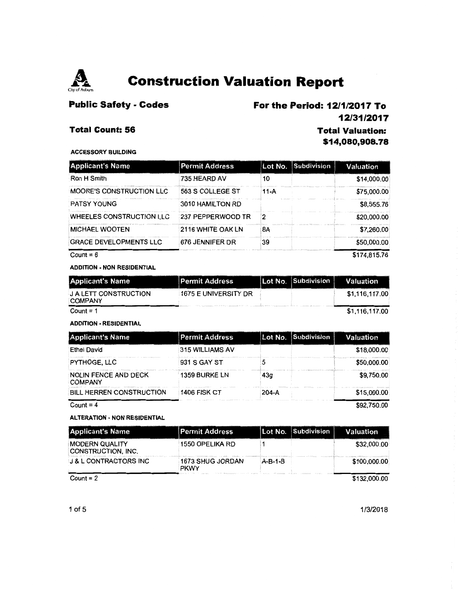

# **Public Safety - Codes**

### **For the Period: 12/1 /2017 To 12/31/2017**

### **Total Count: 56**

**Total Valuation: \$14,080,908. 78** 

#### ACCESSORY BUILDING

| <b>Applicant's Name</b>         | <b>Permit Address</b>    |        | Lot No. Subdivision | Valuation    |
|---------------------------------|--------------------------|--------|---------------------|--------------|
| Ron H Smith                     | 735 HEARD AV             | 10     |                     | \$14,000.00  |
| <b>MOORE'S CONSTRUCTION LLC</b> | 563 S COLLEGE ST         | $11-A$ |                     | \$75,000.00  |
| <b>PATSY YOUNG</b>              | 3010 HAMILTON RD         |        |                     | \$8,555.76   |
| WHEELES CONSTRUCTION LLC        | <b>237 PEPPERWOOD TR</b> | 2      |                     | \$20,000.00  |
| <b>MICHAEL WOOTEN</b>           | 2116 WHITE OAK LN        | 8Α     |                     | \$7,260.00   |
| <b>GRACE DEVELOPMENTS LLC</b>   | 676 JENNIFER DR          | 39     |                     | \$50,000.00  |
| Count = $6$                     |                          |        |                     | \$174,815,76 |

#### ADDITION - NON RESIDENTIAL

| <b>Applicant's Name</b>                        | <b>Permit Address</b>       | Lot No. Subdivision | Valuation      |
|------------------------------------------------|-----------------------------|---------------------|----------------|
| <b>J A LETT CONSTRUCTION</b><br><b>COMPANY</b> | <b>1675 E UNIVERSITY DR</b> |                     | \$1,116,117.00 |
| Count = $1$                                    |                             |                     | \$1,116,117.00 |

#### ADDITION - RESIDENTIAL

| <b>Applicant's Name</b>                       | <b>Permit Address</b> |           | Lot No. Subdivision | Valuation   |
|-----------------------------------------------|-----------------------|-----------|---------------------|-------------|
| <b>Ethel David</b>                            | 315 WILLIAMS AV       |           |                     | \$18,000.00 |
| PYTHOGE, LLC                                  | 931 S GAY ST          |           |                     | \$50,000.00 |
| <b>NOLIN FENCE AND DECK</b><br><b>COMPANY</b> | <b>1359 BURKE LN</b>  | 43a       |                     | \$9.750.00  |
| <b>BILL HERREN CONSTRUCTION</b>               | <b>1406 FISK CT</b>   | $204 - A$ |                     | \$15,000.00 |
| Count = $4$                                   |                       |           |                     | \$92.750.00 |

Count =  $4$ 

#### ALTERATION - NON RESIDENTIAL

| <b>Applicant's Name</b>                     | <b>Permit Address</b>                  |           | Lot No. Subdivision | Valuation    |
|---------------------------------------------|----------------------------------------|-----------|---------------------|--------------|
| <b>MODERN QUALITY</b><br>CONSTRUCTION, INC. | 1550 OPELIKA RD                        |           |                     | \$32,000.00  |
| <b>J &amp; L CONTRACTORS INC</b>            | <b>1673 SHUG JORDAN</b><br><b>PKWY</b> | $A-B-1-B$ |                     | \$100,000.00 |
| Count = $2$                                 |                                        |           |                     | \$132,000.00 |

1/3/2018

1of5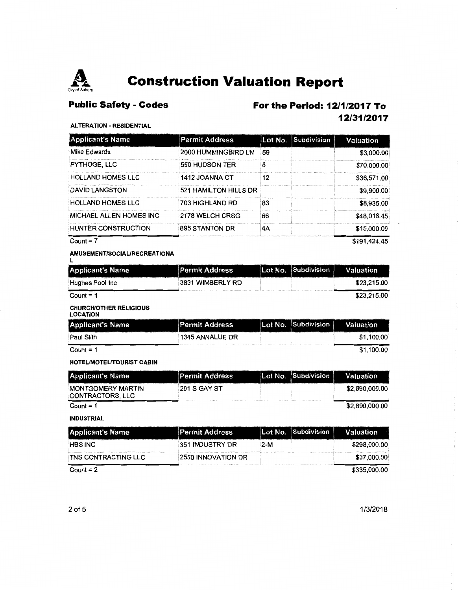

# **Public Safety - Codes**

### **For the Period: 12/1 /2017 To 12/31/2017**

#### **ALTERATION - RESIDENTIAL**

| <b>Applicant's Name</b>    | <b>Permit Address</b> | Lot No. | Subdivision | Valuation    |
|----------------------------|-----------------------|---------|-------------|--------------|
| Mike Edwards               | 2000 HUMMINGBIRD LN   | 59      |             | \$3,000.00   |
| <b>PYTHOGE, LLC</b>        | 550 HUDSON TER        | 6       |             | \$70,000.00  |
| <b>HOLLAND HOMES LIC</b>   | 1412 JOANNA CT        | 12      |             | \$36,571.00  |
| DAVID LANGSTON             | 521 HAMILTON HILLS DR |         |             | \$9,900.00   |
| <b>HOLLAND HOMES LLC</b>   | 703 HIGHLAND RD       | 83      |             | \$8,935.00   |
| MICHAEL ALLEN HOMES INC    | 2178 WELCH CRSG       | 66      |             | \$48,018.45  |
| <b>HUNTER CONSTRUCTION</b> | 895 STANTON DR        | 4A      |             | \$15,000.00  |
| Count = $7$                |                       |         |             | \$191.424.45 |

AMUSEMENT/SOCIAURECREATIONA L

| <b>Applicant's Name</b> | <b>Permit Address</b> | Lot No. Subdivision | Valuation   |
|-------------------------|-----------------------|---------------------|-------------|
| Hughes Pool Inc         | 3831 WIMBERLY RD      |                     | \$23.215.00 |
| Count = $1$             |                       |                     | \$23.215.00 |

#### CHURCH/OTHER RELIGIOUS

| <b>LOCATION</b>         |                       |                     |            |
|-------------------------|-----------------------|---------------------|------------|
| <b>Applicant's Name</b> | <b>Permit Address</b> | Lot No. Subdivision | Valuation  |
| Paul Stith              | 1345 ANNALUE DR       |                     | \$1,100.00 |
| Count = $1$             |                       |                     | \$1,100.00 |

HOTEUMOTEUTOURIST CABIN

| <b>Applicant's Name</b>               | <b>Permit Address</b> | Lot No. Subdivision | Valuation      |
|---------------------------------------|-----------------------|---------------------|----------------|
| MONTGOMERY MARTIN<br>CONTRACTORS. LLC | <b>201 S GAY ST</b>   |                     | \$2,890,000.00 |
| Count = $1$                           |                       |                     | \$2,890,000.00 |

#### INDUSTRIAL

| <b>Applicant's Name</b>    | <b>Permit Address</b> |       | Lot No. Subdivision | Valuation    |
|----------------------------|-----------------------|-------|---------------------|--------------|
| <b>HBS INC</b>             | 351 INDUSTRY DR       | $2-M$ |                     | \$298,000.00 |
| <b>TNS CONTRACTING LLC</b> | 2550 INNOVATION DR    |       |                     | \$37,000.00  |
| Count = $2$                |                       |       |                     | \$335,000.00 |

1/3/2018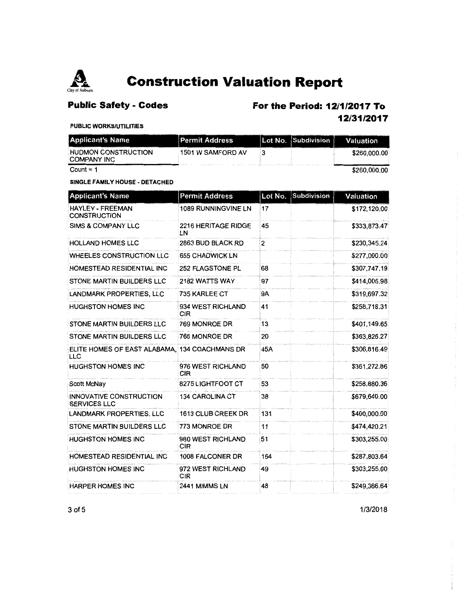

# **Public Safety - Codes**

# **For the Period: 12/1 /2017 To**

**12/31/2017** 

#### PUBLIC WORKS/UTILITIES

| <b>Applicant's Name</b>                          | <b>Permit Address</b> | Lot No. Subdivision | Valuation    |
|--------------------------------------------------|-----------------------|---------------------|--------------|
| <b>HUDMON CONSTRUCTION</b><br><b>COMPANY INC</b> | 1501 W SAMFORD AV     |                     | \$260,000.00 |
| Count = $1$                                      |                       |                     | \$260,000,00 |

Count= 1

#### SINGLE FAMILY HOUSE - DETACHED

| <b>Applicant's Name</b>                                     | <b>Permit Address</b>           | Subdivision<br>Lot No. | Valuation    |
|-------------------------------------------------------------|---------------------------------|------------------------|--------------|
| <b>HAYLEY - FREEMAN</b><br><b>CONSTRUCTION</b>              | <b>1089 RUNNINGVINE LN</b>      | 17                     | \$172,120.00 |
| <b>SIMS &amp; COMPANY LLC</b>                               | 2216 HERITAGE RIDGE<br>LN       | 45                     | \$333,873.47 |
| <b>HOLLAND HOMES LLC</b>                                    | 2863 BUD BLACK RD               | 2                      | \$230,345.24 |
| WHEELES CONSTRUCTION LLC                                    | <b>655 CHADWICK LN</b>          |                        | \$277,000.00 |
| HOMESTEAD RESIDENTIAL INC                                   | 252 FLAGSTONE PL                | 68                     | \$307,747.19 |
| STONE MARTIN BUILDERS LLC                                   | 2182 WATTS WAY                  | 97                     | \$414,005.98 |
| LANDMARK PROPERTIES, LLC                                    | 735 KARLEE CT                   | <b>9A</b>              | \$319,697.32 |
| <b>HUGHSTON HOMES INC</b>                                   | 934 WEST RICHLAND<br><b>CIR</b> | 41                     | \$258,718.31 |
| STONE MARTIN BUILDERS LLC                                   | 769 MONROE DR                   | 13                     | \$401,149.65 |
| STONE MARTIN BUILDERS LLC                                   | 766 MONROE DR                   | 20                     | \$363,826.27 |
| ELITE HOMES OF EAST ALABAMA, 134 COACHMANS DR<br><b>LLC</b> |                                 | 45A                    | \$306,816.49 |
| <b>HUGHSTON HOMES INC</b>                                   | 976 WEST RICHLAND<br><b>CIR</b> | 50                     | \$361,272.86 |
| Scott McNay                                                 | 8275 LIGHTFOOT CT               | 53                     | \$258,880.36 |
| INNOVATIVE CONSTRUCTION<br><b>SERVICES LLC</b>              | <b>134 CAROLINA CT</b>          | 38                     | \$679,640.00 |
| LANDMARK PROPERTIES, LLC                                    | 1613 CLUB CREEK DR              | 131                    | \$400,000.00 |
| <b>STONE MARTIN BUILDERS LLC</b>                            | 773 MONROE DR                   | 11                     | \$474,420.21 |
| HUGHSTON HOMES INC                                          | 980 WEST RICHLAND<br><b>CIR</b> | 51                     | \$303,255.00 |
| HOMESTEAD RESIDENTIAL INC                                   | 1008 FALCONER DR                | 164                    | \$287,803.64 |
| <b>HUGHSTON HOMES INC</b>                                   | 972 WEST RICHLAND<br><b>CIR</b> | 49                     | \$303,255.00 |
| <b>HARPER HOMES INC</b>                                     | 2441 MIMMS LN                   | 48                     | \$249,366.64 |

3 of 5 1/3/2018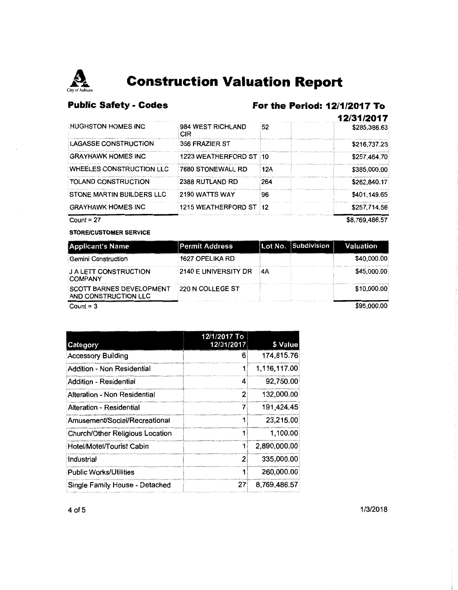

# Public Safety - Codes For the Period: 12/1/2017 To

|                                 |                           |     | 12/31/2017   |
|---------------------------------|---------------------------|-----|--------------|
| <b>HUGHSTON HOMES INC</b>       | 984 WEST RICHLAND<br>CIR. | 52  | \$285,386.63 |
| <b>LAGASSE CONSTRUCTION</b>     | 356 FRAZIER ST            |     | \$216,737.23 |
| <b>GRAYHAWK HOMES INC</b>       | 1223 WEATHERFORD ST 10    |     | \$257,464.70 |
| <b>WHEELES CONSTRUCTION LLC</b> | 7680 STONEWALL RD         | 12A | \$385,000.00 |
| <b>TOLAND CONSTRUCTION</b>      | 2388 RUTLAND RD           | 264 | \$262,840.17 |
| STONE MARTIN BUILDERS LLC       | 2190 WATTS WAY            | 96  | \$401,149.65 |
| <b>GRAYHAWK HOMES INC</b>       | 1215 WEATHERFORD ST 12    |     | \$257,714.56 |
| Count = $27$                    | \$8.769.486.57            |     |              |

**STORE/CUSTOMER SERVICE** 

| <b>Applicant's Name</b>                                 | <b>Permit Address</b> |    | Lot No. Subdivision | Valuation   |
|---------------------------------------------------------|-----------------------|----|---------------------|-------------|
| Gemini Construction                                     | 1627 OPELIKA RD       |    |                     | \$40,000.00 |
| <b>JALETT CONSTRUCTION</b><br><b>COMPANY</b>            | 2140 E UNIVERSITY DR  | 4Α |                     | \$45,000.00 |
| <b>SCOTT BARNES DEVELOPMENT</b><br>AND CONSTRUCTION LLC | 220 N COLLEGE ST      |    |                     | \$10,000.00 |
|                                                         |                       |    |                     | $A - A - A$ |

Count =  $3$ 

\$95,000.00

| 12/1/2017 To |              |
|--------------|--------------|
|              | \$ Value     |
| 6            | 174,815.76   |
|              | 1,116,117.00 |
| 4            | 92,750.00    |
| 2            | 132.000.00   |
|              | 191,424.45   |
|              | 23,215.00    |
|              | 1,100.00     |
|              | 2,890,000.00 |
| 2            | 335,000.00   |
|              | 260,000.00   |
| 27           | 8.769.486.57 |
|              | 12/31/2017   |

1/3/2018